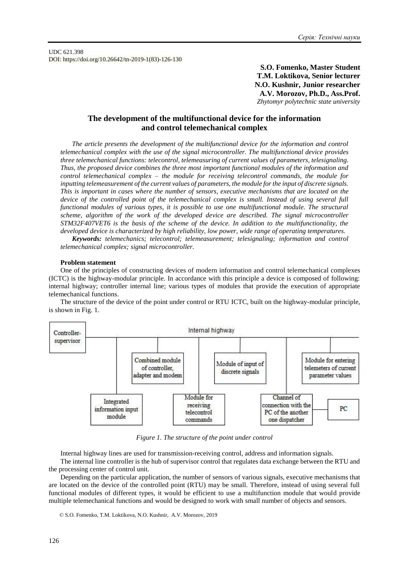UDC 621.398 DOI: https://doi.org/10.26642/tn-2019-1(83)-126-130

> **S.O. Fomenko, Master Student T.M. Loktikova, Senior lecturer N.O. Kushnir, Junior researcher A.V. Morozov, Ph.D., Ass.Prof.** *Zhytomyr polytechnic state university*

# **The development of the multifunctional device for the information and control telemechanical complex**

*The article presents the development of the multifunctional device for the information and control telemechanical complex with the use of the signal microcontroller. The multifunctional device provides three telemechanical functions: telecontrol, telemeasuring of current values of parameters, telesignaling. Thus, the proposed device combines the three most important functional modules of the information and control telemechanical complex – the module for receiving telecontrol commands, the module for inputting telemeasurement of the current values of parameters, the module for the input of discrete signals. This is important in cases where the number of sensors, executive mechanisms that are located on the device of the controlled point of the telemechanical complex is small. Instead of using several full functional modules of various types, it is possible to use one multifunctional module. The structural scheme, algorithm of the work of the developed device are described. The signal microcontroller STM32F407VET6 is the basis of the scheme of the device. In addition to the multifunctionality, the developed device is characterized by high reliability, low power, wide range of operating temperatures.*

*Keywords: telemechanics; telecontrol; telemeasurement; telesignaling; information and control telemechanical complex; signal microcontroller.*

#### **Problem statement**

One of the principles of constructing devices of modern information and control telemechanical complexes (ICTC) is the highway-modular principle. In accordance with this principle a device is composed of following: internal highway; controller internal line; various types of modules that provide the execution of appropriate telemechanical functions.

The structure of the device of the point under control or RTU ICTC, built on the highway-modular principle, is shown in Fig. 1.



*Figure 1. The structure of the point under control*

Internal highway lines are used for transmission-receiving control, address and information signals. The internal line controller is the hub of supervisor control that regulates data exchange between the RTU and the processing center of control unit.

Depending on the particular application, the number of sensors of various signals, executive mechanisms that are located on the device of the controlled point (RTU) may be small. Therefore, instead of using several full functional modules of different types, it would be efficient to use a multifunction module that would provide multiple telemechanical functions and would be designed to work with small number of objects and sensors.

<sup>©</sup> S.O. Fomenko, T.M. Loktikova, N.O. Kushnir, A.V. Morozov, 2019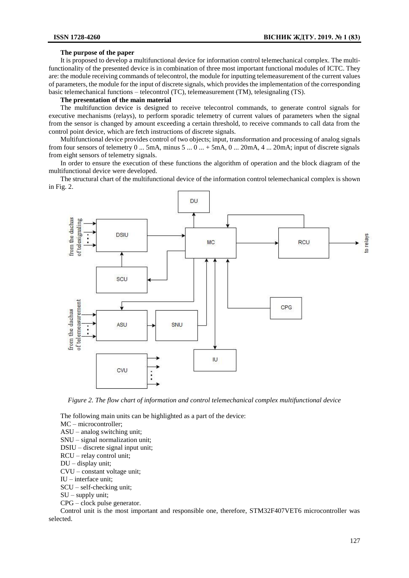# **The purpose of the paper**

It is proposed to develop a multifunctional device for information control telemechanical complex. The multifunctionality of the presented device is in combination of three most important functional modules of ICTC. They are: the module receiving commands of telecontrol, the module for inputting telemeasurement of the current values of parameters, the module for the input of discrete signals, which provides the implementation of the corresponding basic telemechanical functions – telecontrol (TC), telemeasurement (TM), telesignaling (TS).

### **The presentation of the main material**

The multifunction device is designed to receive telecontrol commands, to generate control signals for executive mechanisms (relays), to perform sporadic telemetry of current values of parameters when the signal from the sensor is changed by amount exceeding a certain threshold, to receive commands to call data from the control point device, which are fetch instructions of discrete signals.

Multifunctional device provides control of two objects; input, transformation and processing of analog signals from four sensors of telemetry  $0 \dots 5 \text{mA}$ , minus  $5 \dots 0 \dots + 5 \text{mA}$ ,  $0 \dots 20 \text{mA}$ ,  $4 \dots 20 \text{mA}$ ; input of discrete signals from eight sensors of telemetry signals.

In order to ensure the execution of these functions the algorithm of operation and the block diagram of the multifunctional device were developed.

The structural chart of the multifunctional device of the information control telemechanical complex is shown in Fig. 2.



*Figure 2. The flow chart of information and control telemechanical complex multifunctional device*

The following main units can be highlighted as a part of the device:

MC – microcontroller;

ASU – analog switching unit;

SNU – signal normalization unit;

- DSIU discrete signal input unit;
- RCU relay control unit;

DU – display unit;

CVU – constant voltage unit;

IU – interface unit;

SCU – self-checking unit;

 $SU -$  supply unit:

CPG – clock pulse generator.

Control unit is the most important and responsible one, therefore, STM32F407VET6 microcontroller was selected.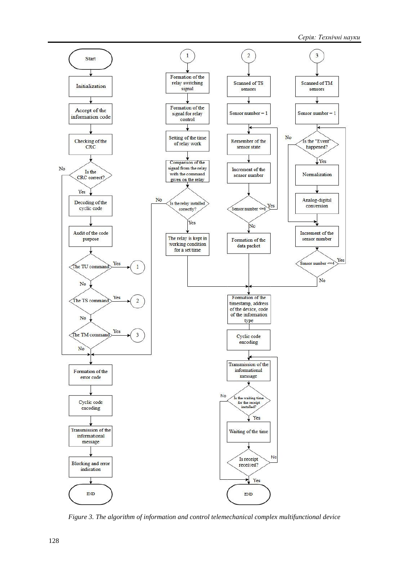

*Figure 3. The algorithm of information and control telemechanical complex multifunctional device*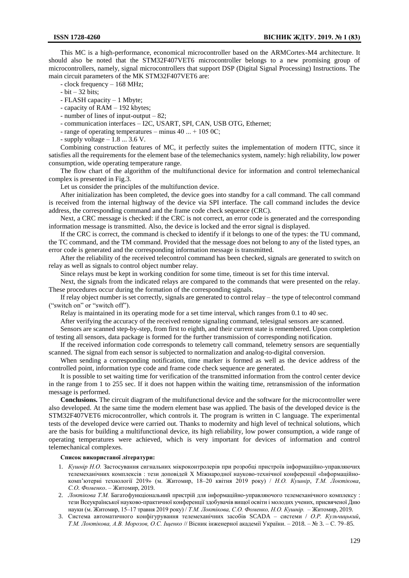This MC is a high-performance, economical microcontroller based on the ARMCortex-M4 architecture. It should also be noted that the STM32F407VET6 microcontroller belongs to a new promising group of microcontrollers, namely, signal microcontrollers that support DSP (Digital Signal Processing) Instructions. The main circuit parameters of the MK STM32F407VET6 are:

- clock frequency – 168 MHz;

 $- bit - 32 bits;$ 

- FLASH capacity – 1 Mbyte;

- capacity of RAM – 192 kbytes;

- number of lines of input-output – 82;

- communication interfaces – I2C, USART, SPI, CAN, USB OTG, Ethernet;

- range of operating temperatures – minus 40 ... + 105 0С;

- supply voltage  $-1.8$  ... 3.6 V.

Combining construction features of MC, it perfectly suites the implementation of modern ITTC, since it satisfies all the requirements for the element base of the telemechanics system, namely: high reliability, low power consumption, wide operating temperature range.

The flow chart of the algorithm of the multifunctional device for information and control telemechanical complex is presented in Fig.3.

Let us consider the principles of the multifunction device.

After initialization has been completed, the device goes into standby for a call command. The call command is received from the internal highway of the device via SPI interface. The call command includes the device address, the corresponding command and the frame code check sequence (CRC).

Next, a CRC message is checked: if the CRC is not correct, an error code is generated and the corresponding information message is transmitted. Also, the device is locked and the error signal is displayed.

If the CRC is correct, the command is checked to identify if it belongs to one of the types: the TU command, the TC command, and the TM command. Provided that the message does not belong to any of the listed types, an error code is generated and the corresponding information message is transmitted.

After the reliability of the received telecontrol command has been checked, signals are generated to switch on relay as well as signals to control object number relay.

Since relays must be kept in working condition for some time, timeout is set for this time interval.

Next, the signals from the indicated relays are compared to the commands that were presented on the relay. These procedures occur during the formation of the corresponding signals.

If relay object number is set correctly, signals are generated to control relay – the type of telecontrol command ("switch on" or "switch off").

Relay is maintained in its operating mode for a set time interval, which ranges from 0.1 to 40 sec.

After verifying the accuracy of the received remote signaling command, telesignal sensors are scanned.

Sensors are scanned step-by-step, from first to eighth, and their current state is remembered. Upon completion of testing all sensors, data package is formed for the further transmission of corresponding notification.

If the received information code corresponds to telemetry call command, telemetry sensors are sequentially scanned. The signal from each sensor is subjected to normalization and analog-to-digital conversion.

When sending a corresponding notification, time marker is formed as well as the device address of the controlled point, information type code and frame code check sequence are generated.

It is possible to set waiting time for verification of the transmitted information from the control center device in the range from 1 to 255 sec. If it does not happen within the waiting time, retransmission of the information message is performed.

**Conclusions.** The circuit diagram of the multifunctional device and the software for the microcontroller were also developed. At the same time the modern element base was applied. The basis of the developed device is the STM32F407VET6 microcontroller, which controls it. The program is written in C language. The experimental tests of the developed device were carried out. Thanks to modernity and high level of technical solutions, which are the basis for building a multifunctional device, its high reliability, low power consumption, a wide range of operating temperatures were achieved, which is very important for devices of information and control telemechanical complexes.

#### **Список використаної літератури:**

- 1. *Кушнір Н.О.* Застосування сигнальних мікроконтролерів при розробці пристроїв інформаційно-управляючих телемеханічних комплексів : тези доповідей X Міжнародної науково-технічної конференції «Інформаційнокомп'ютерні технології 2019» (м. Житомир, 18–20 квітня 2019 року) / *Н.О. Кушнір, Т.М. Локтікова*, *С.О. Фоменко*. – Житомир, 2019.
- 2. *Локтікова Т.М.* Багатофункціональний пристрій для інформаційно-управляючого телемеханічного комплексу : тези Всеукраїнської науково-практичної конференції здобувачів вищої освіти і молодих учених, присвяченої Дню науки (м. Житомир, 15–17 травня 2019 року) / *Т.М. Локтікова, С.О. Фоменко, Н.О. Кушнір.* – Житомир, 2019.
- 3. Система автоматичного конфігурування телемеханічних засобів SCADA системи / *О.Р. Кульчицький*, *Т.М. Локтікова, А.В. Морозов, О.С. Іщенко* // Вісник інженерної академії України. – 2018. – № 3. – С. 79–85.